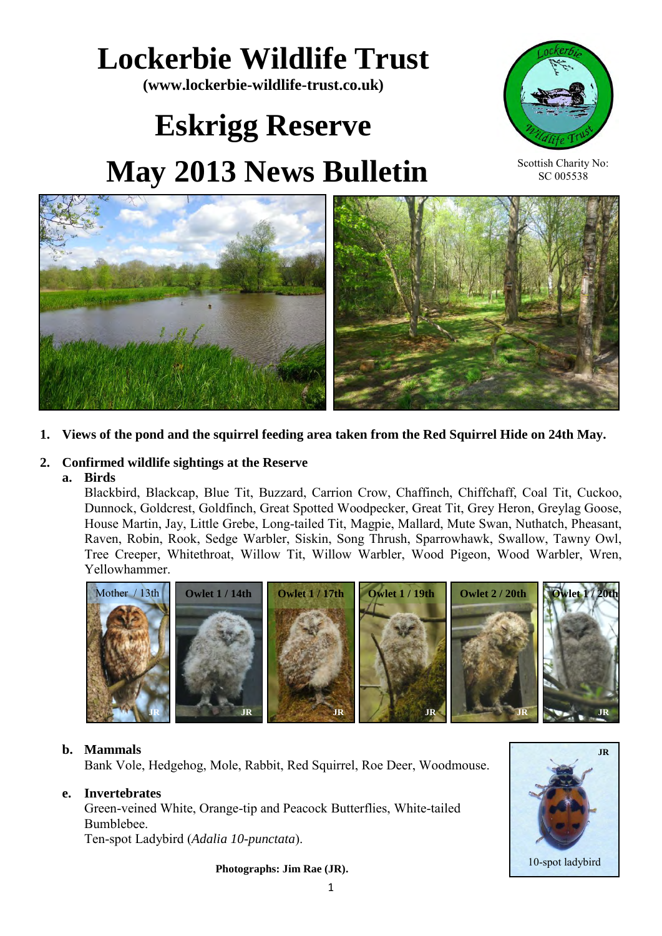# **Lockerbie Wildlife Trust**

**(www.lockerbie-wildlife-trust.co.uk)** 

# **Eskrigg Reserve May 2013 News Bulletin**



Scottish Charity No: SC 005538



**1. Views of the pond and the squirrel feeding area taken from the Red Squirrel Hide on 24th May.** 

# **2. Confirmed wildlife sightings at the Reserve**

# **a. Birds**

Blackbird, Blackcap, Blue Tit, Buzzard, Carrion Crow, Chaffinch, Chiffchaff, Coal Tit, Cuckoo, Dunnock, Goldcrest, Goldfinch, Great Spotted Woodpecker, Great Tit, Grey Heron, Greylag Goose, House Martin, Jay, Little Grebe, Long-tailed Tit, Magpie, Mallard, Mute Swan, Nuthatch, Pheasant, Raven, Robin, Rook, Sedge Warbler, Siskin, Song Thrush, Sparrowhawk, Swallow, Tawny Owl, Tree Creeper, Whitethroat, Willow Tit, Willow Warbler, Wood Pigeon, Wood Warbler, Wren, Yellowhammer.



# **b. Mammals**

Bank Vole, Hedgehog, Mole, Rabbit, Red Squirrel, Roe Deer, Woodmouse.

# **e. Invertebrates**

 Green-veined White, Orange-tip and Peacock Butterflies, White-tailed Bumblebee. Ten-spot Ladybird (*Adalia 10-punctata*).

**Photographs: Jim Rae (JR).**

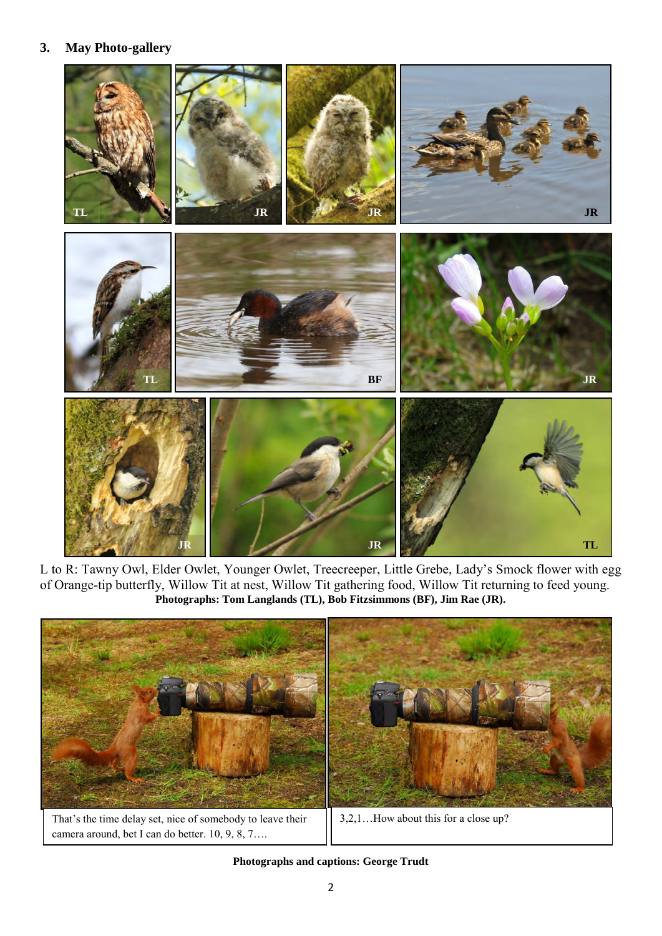### **3. May Photo-gallery**



L to R: Tawny Owl, Elder Owlet, Younger Owlet, Treecreeper, Little Grebe, Lady's Smock flower with egg of Orange-tip butterfly, Willow Tit at nest, Willow Tit gathering food, Willow Tit returning to feed young. **Photographs: Tom Langlands (TL), Bob Fitzsimmons (BF), Jim Rae (JR).**



**Photographs and captions: George Trudt**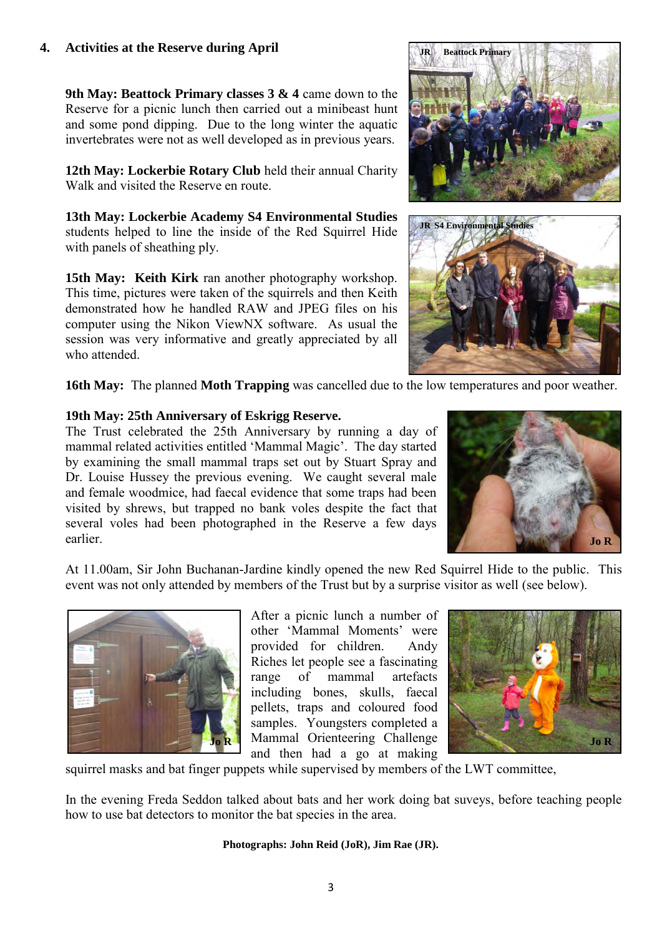# **4. Activities at the Reserve during April**

**9th May: Beattock Primary classes 3 & 4** came down to the Reserve for a picnic lunch then carried out a minibeast hunt and some pond dipping. Due to the long winter the aquatic invertebrates were not as well developed as in previous years.

**12th May: Lockerbie Rotary Club** held their annual Charity Walk and visited the Reserve en route.

**13th May: Lockerbie Academy S4 Environmental Studies**  students helped to line the inside of the Red Squirrel Hide with panels of sheathing ply.

**15th May: Keith Kirk** ran another photography workshop. This time, pictures were taken of the squirrels and then Keith demonstrated how he handled RAW and JPEG files on his computer using the Nikon ViewNX software. As usual the session was very informative and greatly appreciated by all who attended.





**16th May:** The planned **Moth Trapping** was cancelled due to the low temperatures and poor weather.

# **19th May: 25th Anniversary of Eskrigg Reserve.**

The Trust celebrated the 25th Anniversary by running a day of mammal related activities entitled 'Mammal Magic'. The day started by examining the small mammal traps set out by Stuart Spray and Dr. Louise Hussey the previous evening. We caught several male and female woodmice, had faecal evidence that some traps had been visited by shrews, but trapped no bank voles despite the fact that several voles had been photographed in the Reserve a few days earlier.



At 11.00am, Sir John Buchanan-Jardine kindly opened the new Red Squirrel Hide to the public. This event was not only attended by members of the Trust but by a surprise visitor as well (see below).



After a picnic lunch a number of other 'Mammal Moments' were provided for children. Andy Riches let people see a fascinating range of mammal artefacts including bones, skulls, faecal pellets, traps and coloured food samples. Youngsters completed a Mammal Orienteering Challenge **Jo R Jo R**and then had a go at making



squirrel masks and bat finger puppets while supervised by members of the LWT committee,

In the evening Freda Seddon talked about bats and her work doing bat suveys, before teaching people how to use bat detectors to monitor the bat species in the area.

#### **Photographs: John Reid (JoR), Jim Rae (JR).**